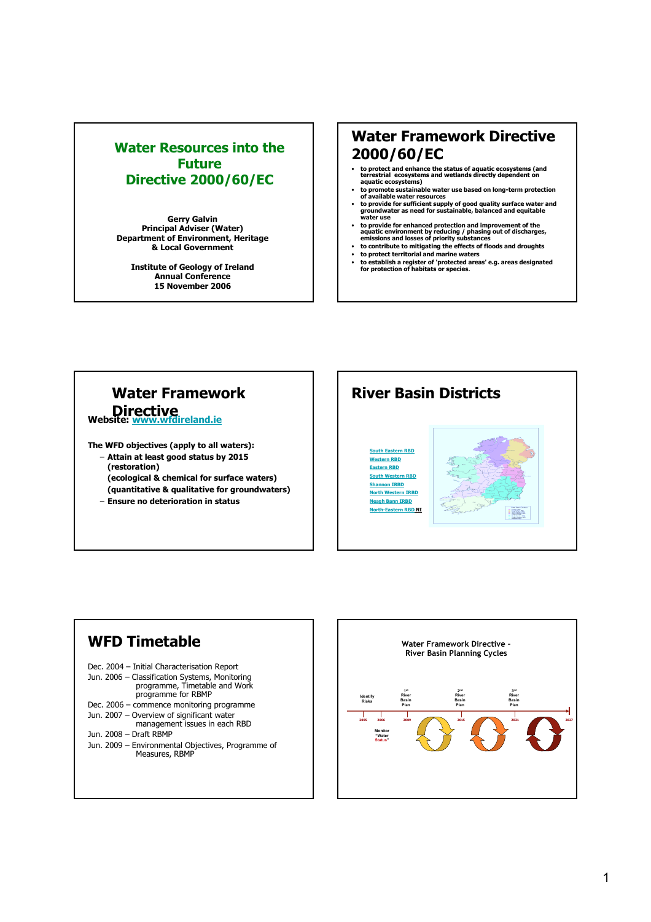## Water Resources into the Future Directive 2000/60/EC

Gerry Galvin Principal Adviser (Water) Department of Environment, Heritage & Local Government

Institute of Geology of Ireland Annual Conference 15 November 2006

## Water Framework Directive 2000/60/EC

- to protect and enhance the status of aquatic ecosystems (and terrestrial ecosystems and wetlands directly dependent on aquatic ecosystems)
- 
- to promote sustainable water use based on long-term protection<br>of available water resources<br>• to provide for sufficient supply of good quality surface water and<br>groundwater as need for sustainable, balanced and equitable
- to provide for enhanced protection and improvement of the aquatic environment by reducing / phasing out of discharges, emissions and losses of priority substances
- to contribute to mitigating the effects of floods and droughts
- to protect territorial and marine waters to establish a register of 'protected areas' e.g. areas designated for protection of habitats or species.

# Water Framework Directive<br>Website: www.wfdireland.ie

The WFD objectives (apply to all waters): – Attain at least good status by 2015 (restoration)

(ecological & chemical for surface waters) (quantitative & qualitative for groundwaters)

– Ensure no deterioration in status





Jun. 2009 – Environmental Objectives, Programme of Measures, RBMP

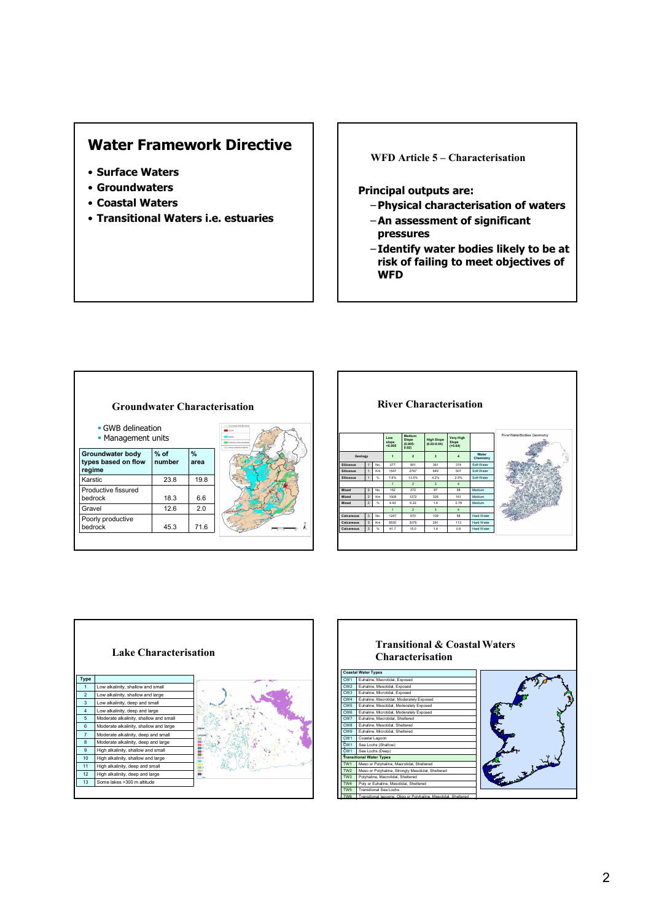## Water Framework Directive

- Surface Waters
- Groundwaters
- Coastal Waters
- Transitional Waters i.e. estuaries

## WFD Article 5 – Characterisation

## Principal outputs are:

- –Physical characterisation of waters
- –An assessment of significant pressures
- Identify water bodies likely to be at risk of failing to meet objectives of **WFD**



| <b>River Characterisation</b> |                         |                |                          |                                       |                                      |                                        |                   |                           |  |  |  |
|-------------------------------|-------------------------|----------------|--------------------------|---------------------------------------|--------------------------------------|----------------------------------------|-------------------|---------------------------|--|--|--|
|                               |                         |                | I ow<br>slope<br>< 0.005 | Medium<br>Slope<br>$(0.005 -$<br>0.02 | <b>High Slope</b><br>$(0.02 - 0.04)$ | <b>Very High</b><br>Slope<br>( > 0.04) |                   | RiverWaterBodies Geometry |  |  |  |
| Geology                       |                         | $\overline{1}$ | $\overline{ }$           | $\mathbf{a}$                          | $\Delta$                             | Water<br>Chemistry                     |                   |                           |  |  |  |
| <b>Siliceous</b>              | $\overline{1}$          | No.            | 277                      | 801                                   | 361                                  | 374                                    | Soft Water        |                           |  |  |  |
| <b>Siliceous</b>              | $\overline{1}$          | Km             | 1547                     | 2767                                  | 849                                  | 507                                    | Soft Water        |                           |  |  |  |
| <b>Siliceous</b>              | $\overline{1}$          | 96             | 7.6%                     | 13.5%                                 | 4.2%                                 | 2.5%                                   | Soft Water        |                           |  |  |  |
|                               |                         |                | $\mathbf{1}$             | 3<br>$\overline{2}$<br>$\Delta$       |                                      |                                        |                   |                           |  |  |  |
| Mixed                         | $\overline{2}$          | No.            | 152                      | 272                                   | 87                                   | 58                                     | Medium            |                           |  |  |  |
| Mixed                         | $\overline{2}$          | Km             | 1008                     | 1272                                  | 326                                  | 161                                    | Medium            |                           |  |  |  |
| Mixed                         | $\overline{2}$          | q.             | 4.93                     | 6.22                                  | 16                                   | 0.79                                   | Medium            |                           |  |  |  |
|                               |                         |                | $\mathbf{1}$             | $\overline{2}$                        | $\mathbf{\hat{z}}$                   | $\Delta$                               |                   |                           |  |  |  |
| Calcareous                    | $\overline{\mathbf{3}}$ | No.            | 1247                     | 670                                   | 109                                  | 58                                     | <b>Hard Water</b> |                           |  |  |  |
| Calcareous                    | $\overline{\mathbf{3}}$ | Km             | 8530                     | 3076                                  | 291                                  | 113                                    | <b>Hard Water</b> |                           |  |  |  |
|                               | $\overline{\mathbf{3}}$ | %              | 41.7                     | 15.0                                  | 1.4                                  | 0.6                                    | Hard Water        |                           |  |  |  |



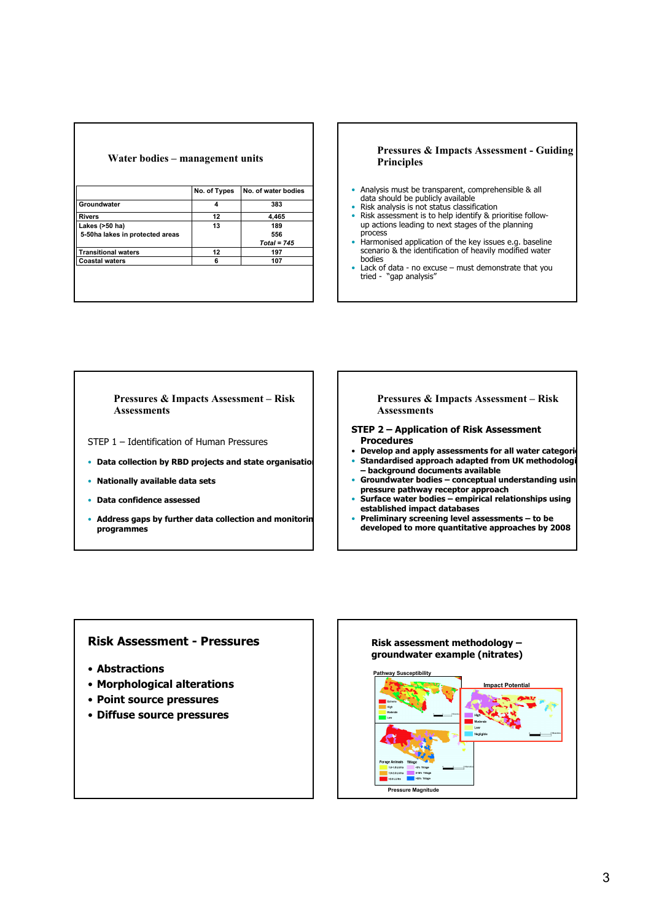| Water bodies – management units |                     |  |  |  |  |  |  |  |  |
|---------------------------------|---------------------|--|--|--|--|--|--|--|--|
|                                 |                     |  |  |  |  |  |  |  |  |
|                                 | No. of water bodies |  |  |  |  |  |  |  |  |
|                                 |                     |  |  |  |  |  |  |  |  |
|                                 | 383                 |  |  |  |  |  |  |  |  |
| 12                              | 4,465               |  |  |  |  |  |  |  |  |
| 13                              | 189                 |  |  |  |  |  |  |  |  |
|                                 | 556                 |  |  |  |  |  |  |  |  |
|                                 | $Total = 745$       |  |  |  |  |  |  |  |  |
| 12                              | 197                 |  |  |  |  |  |  |  |  |
| 6                               | 107                 |  |  |  |  |  |  |  |  |
|                                 |                     |  |  |  |  |  |  |  |  |
|                                 |                     |  |  |  |  |  |  |  |  |
|                                 | No. of Types<br>4   |  |  |  |  |  |  |  |  |

#### Pressures & Impacts Assessment - Guiding Principles

- Analysis must be transparent, comprehensible & all data should be publicly available
- 
- Risk analysis is not status classification Risk assessment is to help identify & prioritise follow-up actions leading to next stages of the planning process
- Harmonised application of the key issues e.g. baseline scenario & the identification of heavily modified water bodies
- Lack of data no excuse must demonstrate that you tried "gap analysis"

#### Pressures & Impacts Assessment – Risk Assessments

- STEP 1 Identification of Human Pressures
- Data collection by RBD projects and state organisation
- Nationally available data sets
- Data confidence assessed
- Address gaps by further data collection and monitorin programmes

#### Pressures & Impacts Assessment – Risk **Assessments**

- STEP 2 Application of Risk Assessment Procedures
- Develop and apply assessments for all water categories Standardised approach adapted from UK methodologi
- background documents available Groundwater bodies - conceptual understanding usin
- pressure pathway receptor approach
- Surface water bodies empirical relationships using established impact databases
- Preliminary screening level assessments to be developed to more quantitative approaches by 2008

## Risk Assessment - Pressures

- Abstractions
- Morphological alterations
- Point source pressures
- Diffuse source pressures

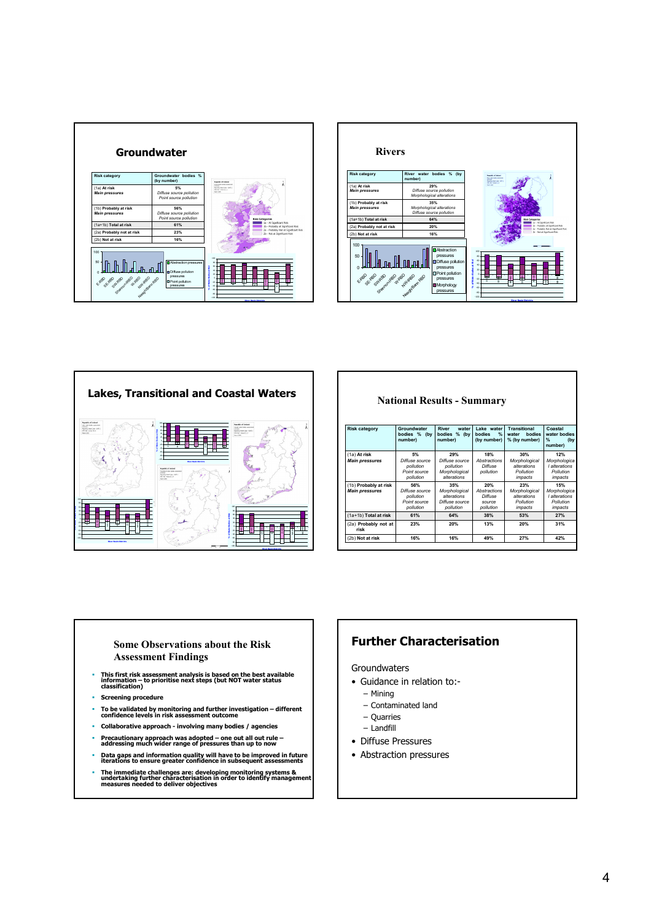





National Results - Summary

| <b>Risk category</b>                           | Groundwater<br>bodies %<br>(by<br>number)                       | <b>River</b><br>water<br>bodies<br>%<br>(by<br>number)             | Lake water<br>$\frac{9}{6}$<br><b>bodies</b><br>(by number) | Transitional<br><b>bodies</b><br>water<br>% (by number)     | Coastal<br>water bodies<br>$\frac{9}{6}$<br>(by)<br>number)  |
|------------------------------------------------|-----------------------------------------------------------------|--------------------------------------------------------------------|-------------------------------------------------------------|-------------------------------------------------------------|--------------------------------------------------------------|
| (1a) At risk<br><b>Main pressures</b>          | 5%<br>Diffuse source<br>pollution<br>Point source<br>pollution  | 29%<br>Diffuse source<br>pollution<br>Morphological<br>alterations | 18%<br>Abstractions<br>Diffuse<br>pollution                 | 30%<br>Morphological<br>alterations<br>Pollution<br>impacts | 12%<br>Morphologica<br>I alterations<br>Pollution<br>impacts |
| (1b) Probably at risk<br><b>Main pressures</b> | 56%<br>Diffuse source<br>pollution<br>Point source<br>pollution | 35%<br>Morphological<br>alterations<br>Diffuse source<br>pollution | 20%<br>Abstractions<br>Diffuse<br>source<br>pollution       | 23%<br>Morphological<br>alterations<br>Pollution<br>impacts | 15%<br>Morphologica<br>I alterations<br>Pollution<br>impacts |
| (1a+1b) Total at risk                          | 61%                                                             | 64%                                                                | 38%                                                         | 53%                                                         | 27%                                                          |
| (2a) Probably not at<br>risk                   | 23%                                                             | 20%                                                                | 13%                                                         | 20%                                                         | 31%                                                          |
| (2b) Not at risk                               | 16%                                                             | 16%                                                                | 49%                                                         | 27%                                                         | 42%                                                          |
|                                                |                                                                 |                                                                    |                                                             |                                                             |                                                              |

#### Some Observations about the Risk Assessment Findings

- This first risk assessment analysis is based on the best available information to prioritise next steps (but NOT water status classification)
- Screening procedure
- To be validated by monitoring and further investigation different confidence levels in risk assessment outcome
- Collaborative approach involving many bodies / agencies
- 
- Precautionary approach was adopted one out all out rule addressing much wider range of pressures than up to now
- Data gaps and information quality will have to be improved in future iterations to ensure greater confidence in subsequent assessments
- The immediate challenges are: developing monitoring systems & undertaking further characterisation in order to identify management measures needed to deliver objectives

## Further Characterisation

**Groundwaters** 

- Guidance in relation to:-
	- Mining
	- Contaminated land
	- Quarries
	- Landfill
- Diffuse Pressures
- Abstraction pressures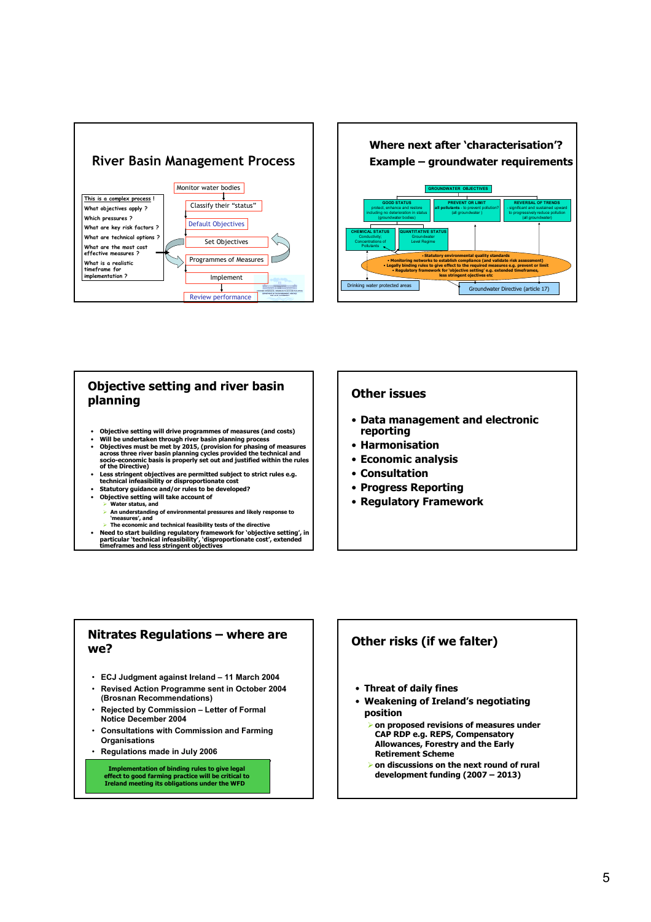



### Objective setting and river basin planning

- Objective setting will drive programmes of measures (and costs)
- Will be undertaken through river basin planning process<br>• Objectives must be met by 2015, (provision for phasing of measures<br>• across three river basin planning cycles provided the technical and<br>• socio-economic basis is
- of the Directive)
- Less stringent objectives are permitted subject to strict rules e.g.<br>technical infeasibility or disproportionate cost<br>• Statutory guidance and/or rules to be developed?
- 
- Objective setting will take account of<br>> Water status, and
	- Water status, and
	- > An understanding of environmental pressures and likely response to 'measures', and - The economic and technical feasibility tests of the directive
- Need to start building regulatory framework for 'objective setting', in particular 'technical infeasibility', 'disproportionate cost', extended timeframes and less stringent objectives

### Other issues

- Data management and electronic reporting
- Harmonisation
- Economic analysis
- Consultation
- Progress Reporting
- Regulatory Framework

## Nitrates Regulations – where are we?

- ECJ Judgment against Ireland 11 March 2004
- Revised Action Programme sent in October 2004 (Brosnan Recommendations)
- Rejected by Commission Letter of Formal Notice December 2004
- Consultations with Commission and Farming **Organisations**
- Regulations made in July 2006

Implementation of binding rules to give legal<br>effect to good farming practice will be critical to<br>Ireland meeting its obligations under the WFD

## Other risks (if we falter)

- Threat of daily fines
- Weakening of Ireland's negotiating position
	- -on proposed revisions of measures under CAP RDP e.g. REPS, Compensatory Allowances, Forestry and the Early Retirement Scheme
	- > on discussions on the next round of rural development funding (2007 – 2013)